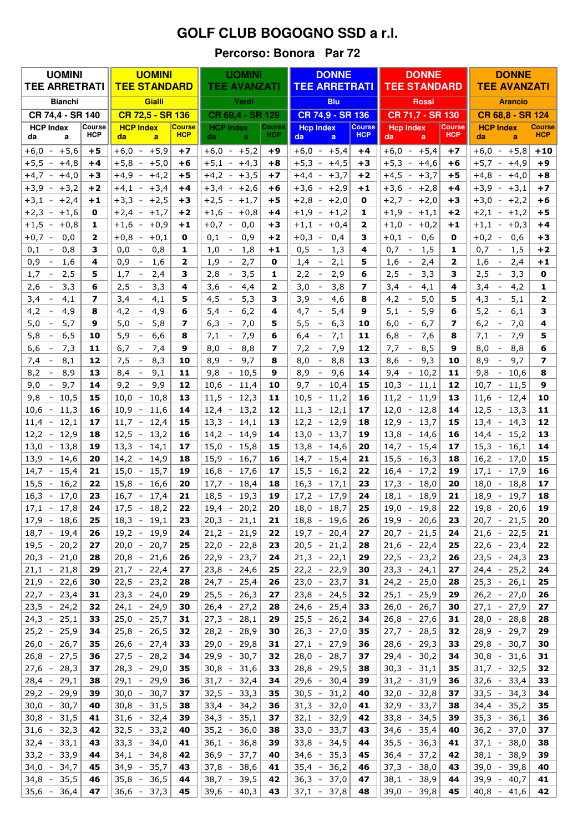## **GOLF CLUB BOGOGNO SSD a r.l.**

## Percorso: Bonora Par 72

| <b>UOMINI</b>                            |                      | <b>UOMINI</b>                                       |                             | <b>UOMINI</b>                             |                      | <b>DONNE</b>                                 |                             | <b>DONNE</b>                                 |                             | <b>DONNE</b>                             |                             |
|------------------------------------------|----------------------|-----------------------------------------------------|-----------------------------|-------------------------------------------|----------------------|----------------------------------------------|-----------------------------|----------------------------------------------|-----------------------------|------------------------------------------|-----------------------------|
| <b>TEE ARRETRATI</b>                     |                      | <b>TEE STANDARD</b>                                 |                             | <b>TEE AVANZATI</b>                       |                      | <b>TEE ARRETRATI</b>                         |                             | <b>TEE STANDARD</b>                          |                             | <b>TEE AVANZATI</b>                      |                             |
| <b>Bianchi</b>                           |                      | Gialli                                              |                             | Verdi                                     |                      | <b>Blu</b>                                   |                             | <b>Rossi</b>                                 |                             | <b>Arancio</b>                           |                             |
| CR 74,4 - SR 140                         |                      | CR 72.5 - SR 136                                    |                             | CR 69,4 - SR 129                          |                      | CR 74,9 - SR 136                             |                             | CR 71,7 - SR 130                             |                             | CR 68,8 - SR 124                         |                             |
| <b>HCP Index</b><br>da<br>a              | Course<br><b>HCP</b> | <b>HCP Index</b><br>da<br>a                         | <b>Course</b><br><b>HCP</b> | <b>HCP Index</b><br>da.<br>a              | Course<br><b>HCP</b> | <b>Hcp Index</b><br>da<br>a                  | <b>Course</b><br><b>HCP</b> | <b>Hcp Index</b><br>da<br>a                  | <b>Course</b><br><b>HCP</b> | <b>HCP Index</b><br>da<br>a              | <b>Course</b><br><b>HCP</b> |
| $+6,0$<br>$+5,6$<br>$\sim$               | $+5$                 | $+6,0 -$<br>$+5,9$                                  | $+7$                        | $+6,0 -$<br>$+5,2$                        | +9                   | $+6,0 - +5,4$                                | $+4$                        | $+6,0 -$<br>$+5,4$                           | $+7$                        | $+6,0$<br>$+5,8$<br>$\sim$               | $+10$                       |
| $+5,5$<br>$+4,8$<br>$\sim$               | +4                   | $+5,8 -$<br>$+5,0$                                  | +6                          | $+5,1$<br>$+4,3$<br>$\sim$                | $+8$                 | $+5,3$<br>$+4,5$<br>$\sim$                   | +3                          | $+5,3 -$<br>$+4,6$                           | +6                          | $+5,7 -$<br>$+4,9$                       | $+9$                        |
| $+4,7$<br>$+4,0$<br>$\sim$               | +3                   | $+4,9$<br>$+4,2$<br>$\sim$                          | +5                          | $+4,2$<br>$+3,5$<br>$\sim$                | +7                   | $+3,7$<br>$+4,4$<br>$\sim$                   | $+2$                        | $+4,5$<br>$+3,7$<br>$\sim$                   | +5                          | $+4,8$<br>$+4,0$<br>$\sim$               | $+8$                        |
| $+3,9$<br>$+3,2$<br>$\sim$               | $+2$                 | $+4,1$<br>$+3,4$<br>$\sim$                          | $+4$                        | $+3,4$<br>$+2,6$<br>$\sim$                | +6                   | $+3,6$<br>$+2,9$<br>$\overline{\phantom{a}}$ | $+1$                        | $+3,6$<br>$+2,8$<br>$\sim$                   | +4                          | $+3,9$<br>$+3,1$<br>$\sim$               | $+7$                        |
| $+3,1 - +2,4$                            | $+1$                 | $+2,5$<br>$+3,3$<br>$\equiv$                        | +3                          | $+2,5$<br>$\sim$<br>$+1,7$                | +5                   | $+2,8$<br>$+2,0$<br>$\sim$                   | 0                           | $+2,7 -$<br>$+2,0$                           | +3                          | $+3,0$<br>$+2,2$<br>$\sim$               | $+6$                        |
| $+2,3$<br>$+1,6$<br>$\sim$               | 0                    | $+2,4$<br>$+1,7$<br>$\sim$                          | +2                          | $+1,6$<br>$+0,8$<br>$\sim$                | $+4$                 | $+1,2$<br>$+1,9$<br>$\sim$                   | 1                           | $+1,9$<br>$+1,1$<br>$\overline{\phantom{a}}$ | $+2$                        | $+2,1 -$<br>$+1,2$                       | +5                          |
| $+1,5$<br>$+0,8$<br>$\sim$               | 1                    | $+0,9$<br>$+1,6$<br>$\sim$                          | $+1$                        | $+0,7$<br>0,0<br>$\overline{\phantom{a}}$ | +3                   | $+0,4$<br>$+1,1$<br>$\equiv$                 | $\overline{2}$              | $+0,2$<br>$+1,0$<br>$\overline{\phantom{a}}$ | $+1$                        | $+1,1 -$<br>$+0,3$                       | $+4$                        |
| $+0,7$<br>0,0<br>$\sim$                  | 2                    | $+0,1$<br>$+0,8$<br>$\hspace{0.1mm}-\hspace{0.1mm}$ | 0                           | 0,9<br>0,1                                | $+2$                 | $+0,3$<br>0,4<br>$\overline{\phantom{a}}$    | 3                           | 0,6<br>$+0,1 -$                              | 0                           | $+0,2 -$<br>0,6                          | $+3$                        |
| 0,1<br>0,8<br>$\overline{\phantom{0}}$   | з                    | 0,0<br>0,8<br>$\sim$                                | 1                           | 1,0<br>1,8                                | $+1$                 | 0,5<br>1,3<br>$\,$                           | 4                           | 0,7<br>1,5<br>$\overline{\phantom{a}}$       | 1                           | 1,5<br>0,7<br>$\sim$                     | +2                          |
| 0,9<br>1,6<br>$\overline{\phantom{a}}$   | 4                    | 0,9<br>1,6<br>$\sim$                                | $\mathbf{z}$                | 2,7<br>1,9<br>$\bar{ }$                   | 0                    | 1,4<br>2,1<br>$\sim$                         | 5                           | 2,4<br>1,6<br>$\overline{\phantom{a}}$       | 2                           | 1,6<br>2,4<br>$\sim$                     | $+1$                        |
| 1,7<br>2,5<br>$\sim$                     | 5                    | 1,7<br>2,4<br>$\sim$                                | з                           | 2,8<br>3,5<br>$\overline{\phantom{a}}$    | 1                    | 2,2<br>2,9<br>$\sim$                         | 6                           | 2,5<br>3,3<br>$\overline{\phantom{a}}$       | з                           | 2,5<br>3,3<br>$\sim$                     | 0                           |
| 3,3<br>2,6<br>$\overline{\phantom{a}}$   | 6                    | 3,3<br>2,5<br>$\sim$                                | 4                           | 3,6<br>4,4<br>$\overline{\phantom{a}}$    | $\mathbf{2}$         | 3,0<br>3,8<br>$\sim$                         | 7                           | 3,4<br>$\overline{\phantom{a}}$<br>4,1       | 4                           | 4,2<br>3,4<br>$\sim$                     | 1                           |
| 3,4<br>$\overline{\phantom{a}}$<br>4,1   | 7                    | 3,4<br>4,1<br>$\sim$                                | 5                           | 5,3<br>4,5                                | 3                    | 3,9<br>4,6<br>$\equiv$                       | 8                           | 4,2<br>5,0<br>$\overline{\phantom{a}}$       | 5                           | 4,3<br>5,1<br>$\overline{\phantom{a}}$   | $\overline{2}$              |
| 4,2<br>4,9<br>$\overline{\phantom{a}}$   | 8                    | 4,2<br>4,9<br>$\sim$                                | 6                           | 5,4<br>6,2<br>$\bar{ }$                   | 4                    | 4,7<br>5,4<br>$\overline{\phantom{a}}$       | 9                           | 5,1<br>5,9<br>$\overline{\phantom{a}}$       | 6                           | 5,2<br>6,1<br>$\bar{~}$                  | 3                           |
| 5,0<br>5,7<br>$\overline{\phantom{a}}$   | 9                    | 5,8<br>5,0<br>$\sim$                                | $\overline{ }$              | 6,3<br>7,0<br>$\overline{\phantom{a}}$    | 5                    | 5,5<br>6,3<br>$\overline{\phantom{a}}$       | 10                          | 6,7<br>6,0<br>$\overline{\phantom{a}}$       | 7                           | 6,2<br>7,0<br>$\overline{\phantom{a}}$   | 4                           |
| 5,8<br>6, 5<br>$\overline{\phantom{a}}$  | 10                   | 5,9<br>6,6<br>$\hspace{0.1mm}-\hspace{0.1mm}$       | 8                           | 7,1<br>7,9<br>$\overline{\phantom{a}}$    | 6                    | 7,1<br>6,4<br>$\equiv$                       | 11                          | 6, 8<br>7,6<br>$\overline{\phantom{a}}$      | 8                           | 7,1<br>7,9<br>$\overline{\phantom{a}}$   | 5                           |
| 6,6<br>7,3<br>$\overline{\phantom{a}}$   | 11                   | 6,7<br>7,4<br>$\sim$                                | 9                           | 8,0<br>8,8<br>$\overline{\phantom{a}}$    | 7                    | 7,9<br>7,2<br>$\sim$                         | 12                          | 8,5<br>7,7<br>$\overline{\phantom{a}}$       | 9                           | 8,8<br>8,0<br>$\overline{\phantom{a}}$   | 6                           |
| 8,1<br>7,4<br>$\equiv$                   | 12                   | 7,5<br>8,3<br>$\sim$                                | 10                          | 8,9<br>9,7                                | 8                    | 8,0<br>8,8<br>$\overline{\phantom{a}}$       | 13                          | 9,3<br>8,6<br>$\equiv$                       | 10                          | 9,7<br>8,9                               | $\overline{\phantom{a}}$    |
| 8,9<br>8,2<br>$\overline{\phantom{a}}$   | 13                   | 9,1<br>8,4<br>$\bar{~}$                             | 11                          | 9,8<br>10,5<br>$\overline{\phantom{a}}$   | 9                    | 8,9<br>9,6<br>$\overline{\phantom{a}}$       | 14                          | 9,4<br>10,2<br>$\overline{\phantom{a}}$      | 11                          | 10,6<br>9,8<br>$\overline{\phantom{a}}$  | 8                           |
| 9,0<br>9,7<br>$\overline{\phantom{a}}$   | 14                   | 9,2<br>9,9<br>$\bar{~}$                             | 12                          | 10,6<br>11,4<br>$\overline{\phantom{a}}$  | 10                   | 9,7<br>10,4<br>$\overline{\phantom{a}}$      | 15                          | 10,3<br>11,1<br>$\overline{\phantom{a}}$     | 12                          | 10,7<br>11,5<br>$\sim$                   | 9                           |
| 9,8<br>10,5<br>$\sim$                    | 15                   | 10,0<br>10,8<br>$\equiv$                            | 13                          | 12,3<br>11,5<br>$\sim$                    | 11                   | 10,5<br>11,2<br>$\sim$                       | 16                          | 11,2<br>11,9<br>$\sim$                       | 13                          | $11,6 -$<br>12,4                         | 10                          |
| 10,6<br>11,3<br>$\overline{\phantom{a}}$ | 16                   | 10,9<br>11,6<br>$\overline{\phantom{a}}$            | 14                          | 12,4<br>13,2<br>$\sim$                    | 12                   | 11,3<br>12,1<br>$\overline{\phantom{a}}$     | 17                          | 12,0<br>12,8<br>$\equiv$                     | 14                          | 12,5<br>13,3<br>$\overline{\phantom{a}}$ | 11                          |
| 12,1<br>11,4<br>$\sim$                   | 17                   | 12,4<br>$11,7 -$                                    | 15                          | 13,3<br>14,1<br>$\overline{\phantom{a}}$  | 13                   | 12,2<br>12,9<br>$\sim$                       | 18                          | 12,9<br>13,7<br>$\sim$                       | 15                          | 13,4<br>14,3<br>$\blacksquare$           | 12                          |
| 12,2<br>12,9<br>$\sim$                   | 18                   | $12,5 -$<br>13,2                                    | 16                          | $14,2 -$<br>14,9                          | 14                   | $13,0 -$<br>13,7                             | 19                          | $13,8 -$<br>14,6                             | 16                          | 15,2<br>$14,4 -$                         | 13                          |
| 13,0<br>13,8<br>$\sim$                   | 19                   | $13,3 -$<br>14,1                                    | 17                          | $15,0 -$<br>15,8                          | 15                   | 13,8<br>14,6<br>$\sim$                       | 20                          | $14,7 -$<br>15,4                             | 17                          | $15,3 -$<br>16,1                         | 14                          |
| 13,9<br>14,6<br>$\equiv$                 | 20                   | $14,2 -$<br>14,9                                    | 18                          | 15,9<br>16,7<br>$\sim$                    | 16                   | 14,7<br>15,4<br>$\overline{\phantom{a}}$     | 21                          | 15,5<br>16,3<br>$\sim$                       | 18                          | $16,2 -$<br>17,0                         | 15                          |
| 14,7<br>15,4<br>$\sim$                   | 21                   | 15,0<br>15,7<br>$\overline{\phantom{a}}$            | 19                          | 16,8<br>17,6<br>$\overline{\phantom{a}}$  | 17                   | 15,5<br>16,2<br>$\sim$                       | 22                          | $16,4 -$<br>17,2                             | 19                          | $17,1 -$<br>17,9                         | 16                          |
| 15,5<br>16,2<br>$\equiv$                 | 22                   | 15,8<br>16,6<br>$\hspace{0.1mm}-\hspace{0.1mm}$     | 20                          | $17,7 -$<br>18,4                          | 18                   | 16,3<br>17,1<br>$\sim$                       | 23                          | $17,3 -$<br>18,0                             | 20                          | $18,0 -$<br>18,8                         | 17                          |
| 16,3<br>$-17,0$<br>17,1<br>$-17,8$       | 23<br>24             | $16,7 - 17,4$<br>$17,5 -$<br>18,2                   | 21<br>22                    | 18,5<br>$-19,3$<br>$19,4 -$<br>20,2       | 19<br>20             | 17,9<br>$17,2 -$<br>18,0<br>18,7             | 24<br>25                    | $18,1 -$<br>18,9<br>$19,0 -$<br>19,8         | 21<br>22                    | $18,9 -$<br>19,7<br>20,6<br>$19,8 -$     | 18<br>19                    |
| $17,9 - 18,6$                            | 25                   | $18,3 - 19,1$                                       | 23                          | $20,3 - 21,1$                             | 21                   | $\sim$<br>$18,8 - 19,6$                      | 26                          | 19,9 - 20,6                                  | 23                          | $20,7 - 21,5$                            | 20                          |
| $18,7 - 19,4$                            | 26                   | $19,2 - 19,9$                                       | 24                          | $21,2 - 21,9$                             | 22                   | $19,7 - 20,4$                                | 27                          | $20,7 - 21,5$                                | 24                          | $21,6 - 22,5$                            | 21                          |
| $19,5 - 20,2$                            | 27                   | $20,0 - 20,7$                                       | 25                          | $22,0 - 22,8$                             | 23                   | $20,5 - 21,2$                                | 28                          | $21,6 - 22,4$                                | 25                          | $22,6 - 23,4$                            | 22                          |
| $20,3 - 21,0$                            | 28                   | $20,8 - 21,6$                                       | 26                          | $22,9 - 23,7$                             | 24                   | $21,3 - 22,1$                                | 29                          | $22,5 - 23,2$                                | 26                          | $23,5 - 24,3$                            | 23                          |
| $21,1 - 21,8$                            | 29                   | $21,7 - 22,4$                                       | 27                          | $23,8 - 24,6$                             | 25                   | $22,2 - 22,9$                                | 30                          | $23,3 - 24,1$                                | 27                          | $24,4 -$<br>25,2                         | 24                          |
| $21,9 - 22,6$                            | 30                   | $22,5 - 23,2$                                       | 28                          | $24,7 - 25,4$                             | 26                   | $23,0 - 23,7$                                | 31                          | $24,2 - 25,0$                                | 28                          | $25,3 - 26,1$                            | 25                          |
| $22,7 - 23,4$                            | 31                   | $23,3 - 24,0$                                       | 29                          | $25,5 - 26,3$                             | 27                   | $23,8 - 24,5$                                | 32                          | $25,1 - 25,9$                                | 29                          | $26,2 - 27,0$                            | 26                          |
| $23,5 - 24,2$                            | 32                   | $24,1 - 24,9$                                       | 30                          | $26,4 - 27,2$                             | 28                   | $24,6 - 25,4$                                | 33                          | $26,0 - 26,7$                                | 30                          | $27,1 - 27,9$                            | 27                          |
| $24,3 - 25,1$                            | 33                   | $25,0 - 25,7$                                       | 31                          | $27,3 - 28,1$                             | 29                   | $25,5 - 26,2$                                | 34                          | $26,8 - 27,6$                                | 31                          | $28,0 - 28,8$                            | 28                          |
| $25,2 - 25,9$                            | 34                   | $25,8 - 26,5$                                       | 32                          | $28,2 - 28,9$                             | 30                   | $26,3 - 27,0$                                | 35                          | $27,7 - 28,5$                                | 32                          | $28,9 - 29,7$                            | 29                          |
| $26,0 - 26,7$                            | 35                   | $26,6 - 27,4$                                       | 33                          | $29,0 - 29,8$                             | 31                   | $27,1 - 27,9$                                | 36                          | $28,6 - 29,3$                                | 33                          | $29,8 - 30,7$                            | 30                          |
| $26,8 - 27,5$                            | 36                   | $27,5 - 28,2$                                       | 34                          | $29,9 - 30,7$                             | 32                   | $28,0 - 28,7$                                | 37                          | $29,4 - 30,2$                                | 34                          | $30,8 - 31,6$                            | 31                          |
| $27,6 - 28,3$                            | 37                   | $28,3 - 29,0$                                       | 35                          | $30,8 - 31,6$                             | 33                   | $28,8 - 29,5$                                | 38                          | $30,3 - 31,1$                                | 35                          | $31,7 - 32,5$                            | 32                          |
| $28,4 - 29,1$                            | 38                   | $29,1 - 29,9$                                       | 36                          | $31,7 - 32,4$                             | 34                   | $29,6 - 30,4$                                | 39                          | $31,2 - 31,9$                                | 36                          | $32,6 - 33,4$                            | 33                          |
| $29,2 - 29,9$                            | 39                   | $30,0 - 30,7$                                       | 37                          | $32,5 - 33,3$                             | 35                   | $30,5 - 31,2$                                | 40                          | $32,0 - 32,8$                                | 37                          | $33,5 - 34,3$                            | 34                          |
| $30,0 - 30,7$                            | 40                   | $30,8 - 31,5$                                       | 38                          | $33,4 - 34,2$                             | 36                   | $31,3 - 32,0$                                | 41                          | $32,9 - 33,7$                                | 38                          | $34,4 - 35,2$                            | 35                          |
| $30,8 - 31,5$                            | 41                   | $31,6 - 32,4$                                       | 39                          | $34,3 - 35,1$                             | 37                   | $32,1 - 32,9$                                | 42                          | $33,8 - 34,5$                                | 39                          | $35,3 - 36,1$                            | 36                          |
| $31,6 - 32,3$                            | 42                   | $32,5 - 33,2$                                       | 40                          | $35,2 - 36,0$                             | 38                   | $33,0 - 33,7$                                | 43                          | $34,6 - 35,4$                                | 40                          | $36,2 - 37,0$                            | 37                          |
| $32,4 - 33,1$                            | 43                   | $33,3 - 34,0$                                       | 41                          | $36,1 - 36,8$                             | 39                   | $33,8 - 34,5$                                | 44                          | $35,5 - 36,3$                                | 41                          | $37,1 - 38,0$                            | 38                          |
| $33,2 - 33,9$                            | 44                   | $34,1 - 34,8$                                       | 42                          | $36,9 - 37,7$                             | 40                   | $34,6 - 35,3$                                | 45                          | $36,4 - 37,2$                                | 42                          | $38,1 - 38,9$                            | 39                          |
| $34,0 - 34,7$                            | 45                   | $34,9 - 35,7$                                       | 43                          | $37,8 - 38,6$                             | 41                   | $35,4 - 36,2$                                | 46                          | $37,3 - 38,0$                                | 43                          | $39,0 - 39,8$                            | 40                          |
| $34,8 - 35,5$                            | 46                   | $35,8 - 36,5$                                       | 44                          | $38,7 - 39,5$                             | 42                   | $36,3 - 37,0$                                | 47                          | $38,1 - 38,9$                                | 44                          | $39,9 - 40,7$                            | 41                          |
| $35,6 - 36,4$                            | 47                   | $36,6 - 37,3$                                       | 45                          | $39,6 - 40,3$                             | 43                   | $37,1 - 37,8$                                | 48                          | $39,0 - 39,8$                                | 45                          | $40,8 - 41,6$                            | 42                          |